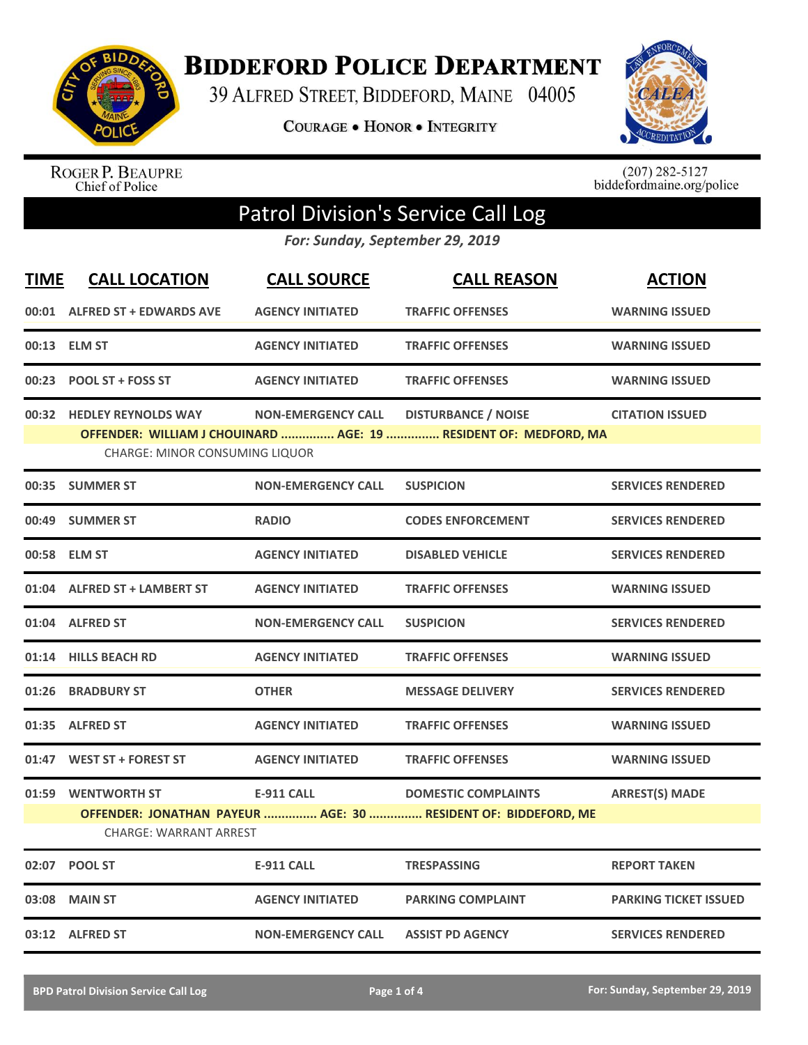

**BIDDEFORD POLICE DEPARTMENT** 

39 ALFRED STREET, BIDDEFORD, MAINE 04005

**COURAGE . HONOR . INTEGRITY** 



ROGER P. BEAUPRE<br>Chief of Police

 $(207)$  282-5127<br>biddefordmaine.org/police

## Patrol Division's Service Call Log

*For: Sunday, September 29, 2019*

| <b>TIME</b> | <b>CALL LOCATION</b>                                               | <b>CALL SOURCE</b>        | <b>CALL REASON</b>                                                                             | <b>ACTION</b>                |
|-------------|--------------------------------------------------------------------|---------------------------|------------------------------------------------------------------------------------------------|------------------------------|
|             | 00:01 ALFRED ST + EDWARDS AVE                                      | <b>AGENCY INITIATED</b>   | <b>TRAFFIC OFFENSES</b>                                                                        | <b>WARNING ISSUED</b>        |
|             | 00:13 ELM ST                                                       | <b>AGENCY INITIATED</b>   | <b>TRAFFIC OFFENSES</b>                                                                        | <b>WARNING ISSUED</b>        |
|             | 00:23 POOL ST + FOSS ST                                            | <b>AGENCY INITIATED</b>   | <b>TRAFFIC OFFENSES</b>                                                                        | <b>WARNING ISSUED</b>        |
|             | 00:32 HEDLEY REYNOLDS WAY<br><b>CHARGE: MINOR CONSUMING LIQUOR</b> | <b>NON-EMERGENCY CALL</b> | <b>DISTURBANCE / NOISE</b><br>OFFENDER: WILLIAM J CHOUINARD  AGE: 19  RESIDENT OF: MEDFORD, MA | <b>CITATION ISSUED</b>       |
|             | 00:35 SUMMER ST                                                    | <b>NON-EMERGENCY CALL</b> | <b>SUSPICION</b>                                                                               | <b>SERVICES RENDERED</b>     |
|             | 00:49 SUMMER ST                                                    | <b>RADIO</b>              | <b>CODES ENFORCEMENT</b>                                                                       | <b>SERVICES RENDERED</b>     |
|             | 00:58 ELM ST                                                       | <b>AGENCY INITIATED</b>   | <b>DISABLED VEHICLE</b>                                                                        | <b>SERVICES RENDERED</b>     |
|             | 01:04 ALFRED ST + LAMBERT ST                                       | <b>AGENCY INITIATED</b>   | <b>TRAFFIC OFFENSES</b>                                                                        | <b>WARNING ISSUED</b>        |
|             | 01:04 ALFRED ST                                                    | <b>NON-EMERGENCY CALL</b> | <b>SUSPICION</b>                                                                               | <b>SERVICES RENDERED</b>     |
| 01:14       | <b>HILLS BEACH RD</b>                                              | <b>AGENCY INITIATED</b>   | <b>TRAFFIC OFFENSES</b>                                                                        | <b>WARNING ISSUED</b>        |
|             | 01:26 BRADBURY ST                                                  | <b>OTHER</b>              | <b>MESSAGE DELIVERY</b>                                                                        | <b>SERVICES RENDERED</b>     |
|             | 01:35 ALFRED ST                                                    | <b>AGENCY INITIATED</b>   | <b>TRAFFIC OFFENSES</b>                                                                        | <b>WARNING ISSUED</b>        |
| 01:47       | <b>WEST ST + FOREST ST</b>                                         | <b>AGENCY INITIATED</b>   | <b>TRAFFIC OFFENSES</b>                                                                        | <b>WARNING ISSUED</b>        |
|             | 01:59 WENTWORTH ST<br><b>CHARGE: WARRANT ARREST</b>                | <b>E-911 CALL</b>         | <b>DOMESTIC COMPLAINTS</b><br>OFFENDER: JONATHAN PAYEUR  AGE: 30  RESIDENT OF: BIDDEFORD, ME   | <b>ARREST(S) MADE</b>        |
| 02:07       | <b>POOL ST</b>                                                     | <b>E-911 CALL</b>         | <b>TRESPASSING</b>                                                                             | <b>REPORT TAKEN</b>          |
| 03:08       | <b>MAIN ST</b>                                                     | <b>AGENCY INITIATED</b>   | <b>PARKING COMPLAINT</b>                                                                       | <b>PARKING TICKET ISSUED</b> |
|             | 03:12 ALFRED ST                                                    | <b>NON-EMERGENCY CALL</b> | <b>ASSIST PD AGENCY</b>                                                                        | <b>SERVICES RENDERED</b>     |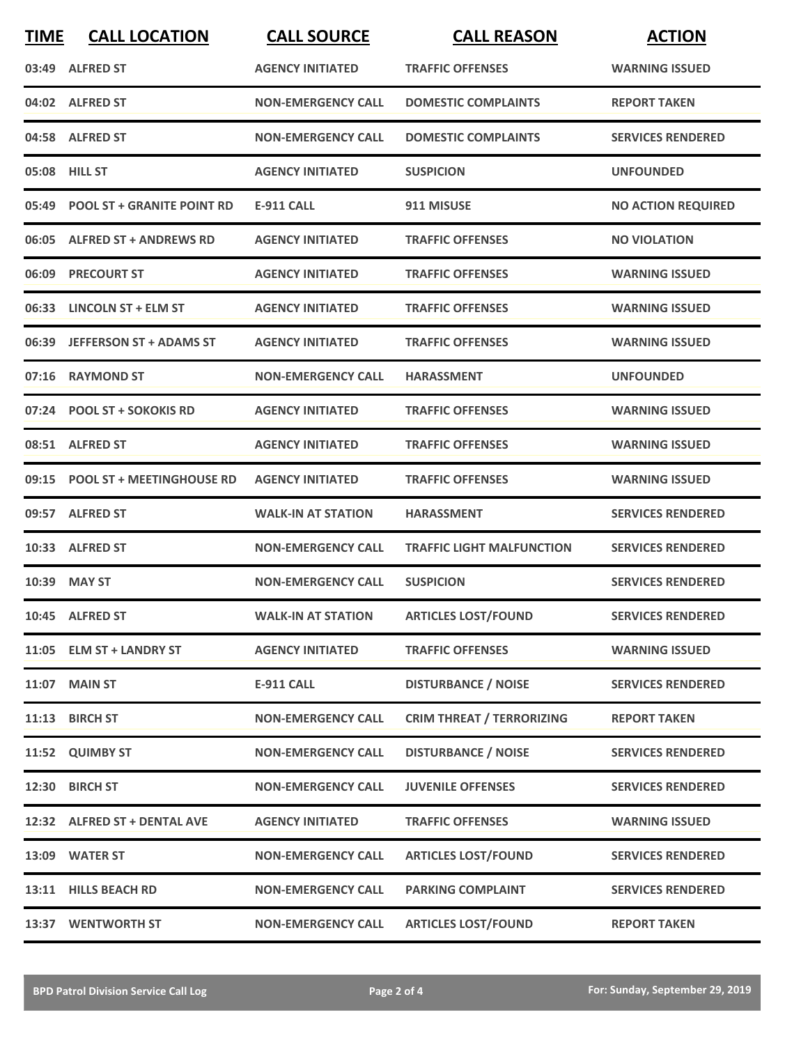| <b>TIME</b> | <b>CALL LOCATION</b>             | <b>CALL SOURCE</b>        | <b>CALL REASON</b>               | <b>ACTION</b>             |
|-------------|----------------------------------|---------------------------|----------------------------------|---------------------------|
|             | 03:49 ALFRED ST                  | <b>AGENCY INITIATED</b>   | <b>TRAFFIC OFFENSES</b>          | <b>WARNING ISSUED</b>     |
|             | 04:02 ALFRED ST                  | <b>NON-EMERGENCY CALL</b> | <b>DOMESTIC COMPLAINTS</b>       | <b>REPORT TAKEN</b>       |
|             | 04:58 ALFRED ST                  | <b>NON-EMERGENCY CALL</b> | <b>DOMESTIC COMPLAINTS</b>       | <b>SERVICES RENDERED</b>  |
|             | 05:08 HILL ST                    | <b>AGENCY INITIATED</b>   | <b>SUSPICION</b>                 | <b>UNFOUNDED</b>          |
|             | 05:49 POOL ST + GRANITE POINT RD | <b>E-911 CALL</b>         | 911 MISUSE                       | <b>NO ACTION REQUIRED</b> |
|             | 06:05 ALFRED ST + ANDREWS RD     | <b>AGENCY INITIATED</b>   | <b>TRAFFIC OFFENSES</b>          | <b>NO VIOLATION</b>       |
| 06:09       | <b>PRECOURT ST</b>               | <b>AGENCY INITIATED</b>   | <b>TRAFFIC OFFENSES</b>          | <b>WARNING ISSUED</b>     |
|             | 06:33 LINCOLN ST + ELM ST        | <b>AGENCY INITIATED</b>   | <b>TRAFFIC OFFENSES</b>          | <b>WARNING ISSUED</b>     |
|             | 06:39 JEFFERSON ST + ADAMS ST    | <b>AGENCY INITIATED</b>   | <b>TRAFFIC OFFENSES</b>          | <b>WARNING ISSUED</b>     |
|             | 07:16 RAYMOND ST                 | <b>NON-EMERGENCY CALL</b> | <b>HARASSMENT</b>                | <b>UNFOUNDED</b>          |
|             | 07:24 POOL ST + SOKOKIS RD       | <b>AGENCY INITIATED</b>   | <b>TRAFFIC OFFENSES</b>          | <b>WARNING ISSUED</b>     |
|             | 08:51 ALFRED ST                  | <b>AGENCY INITIATED</b>   | <b>TRAFFIC OFFENSES</b>          | <b>WARNING ISSUED</b>     |
| 09:15       | <b>POOL ST + MEETINGHOUSE RD</b> | <b>AGENCY INITIATED</b>   | <b>TRAFFIC OFFENSES</b>          | <b>WARNING ISSUED</b>     |
|             | 09:57 ALFRED ST                  | <b>WALK-IN AT STATION</b> | <b>HARASSMENT</b>                | <b>SERVICES RENDERED</b>  |
|             | 10:33 ALFRED ST                  | <b>NON-EMERGENCY CALL</b> | <b>TRAFFIC LIGHT MALFUNCTION</b> | <b>SERVICES RENDERED</b>  |
|             | 10:39 MAY ST                     | <b>NON-EMERGENCY CALL</b> | <b>SUSPICION</b>                 | <b>SERVICES RENDERED</b>  |
|             | 10:45 ALFRED ST                  | <b>WALK-IN AT STATION</b> | <b>ARTICLES LOST/FOUND</b>       | <b>SERVICES RENDERED</b>  |
|             | 11:05 ELM ST + LANDRY ST         | <b>AGENCY INITIATED</b>   | <b>TRAFFIC OFFENSES</b>          | <b>WARNING ISSUED</b>     |
|             | 11:07 MAIN ST                    | <b>E-911 CALL</b>         | <b>DISTURBANCE / NOISE</b>       | <b>SERVICES RENDERED</b>  |
|             | 11:13 BIRCH ST                   | <b>NON-EMERGENCY CALL</b> | <b>CRIM THREAT / TERRORIZING</b> | <b>REPORT TAKEN</b>       |
|             | 11:52 QUIMBY ST                  | <b>NON-EMERGENCY CALL</b> | <b>DISTURBANCE / NOISE</b>       | <b>SERVICES RENDERED</b>  |
|             | 12:30 BIRCH ST                   | <b>NON-EMERGENCY CALL</b> | <b>JUVENILE OFFENSES</b>         | <b>SERVICES RENDERED</b>  |
|             | 12:32 ALFRED ST + DENTAL AVE     | <b>AGENCY INITIATED</b>   | <b>TRAFFIC OFFENSES</b>          | <b>WARNING ISSUED</b>     |
|             | 13:09 WATER ST                   | <b>NON-EMERGENCY CALL</b> | <b>ARTICLES LOST/FOUND</b>       | <b>SERVICES RENDERED</b>  |
|             | 13:11 HILLS BEACH RD             | <b>NON-EMERGENCY CALL</b> | <b>PARKING COMPLAINT</b>         | <b>SERVICES RENDERED</b>  |
|             | 13:37 WENTWORTH ST               | <b>NON-EMERGENCY CALL</b> | <b>ARTICLES LOST/FOUND</b>       | <b>REPORT TAKEN</b>       |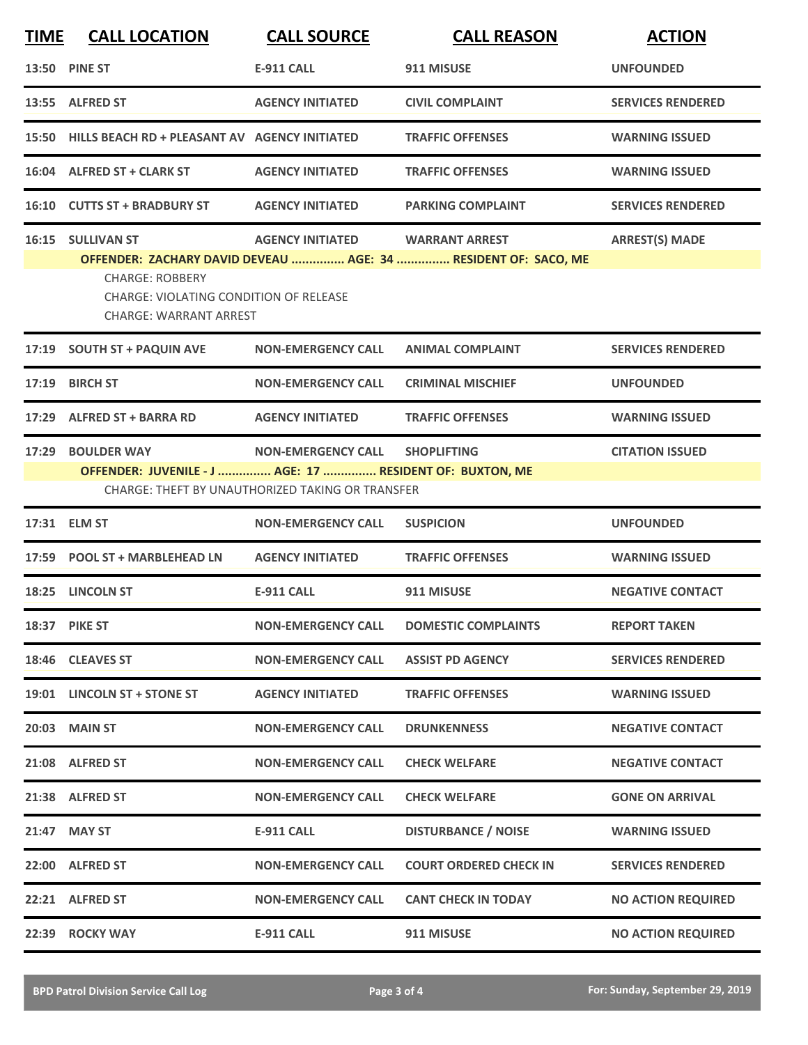| <b>TIME</b> | <b>CALL LOCATION</b>                                                                                                          | <b>CALL SOURCE</b>                                                            | <b>CALL REASON</b>                                                                      | <b>ACTION</b>             |
|-------------|-------------------------------------------------------------------------------------------------------------------------------|-------------------------------------------------------------------------------|-----------------------------------------------------------------------------------------|---------------------------|
|             | <b>13:50 PINE ST</b>                                                                                                          | <b>E-911 CALL</b>                                                             | 911 MISUSE                                                                              | <b>UNFOUNDED</b>          |
|             | 13:55 ALFRED ST                                                                                                               | <b>AGENCY INITIATED</b>                                                       | <b>CIVIL COMPLAINT</b>                                                                  | <b>SERVICES RENDERED</b>  |
|             | 15:50 HILLS BEACH RD + PLEASANT AV AGENCY INITIATED                                                                           |                                                                               | <b>TRAFFIC OFFENSES</b>                                                                 | <b>WARNING ISSUED</b>     |
|             | 16:04 ALFRED ST + CLARK ST                                                                                                    | <b>AGENCY INITIATED</b>                                                       | <b>TRAFFIC OFFENSES</b>                                                                 | <b>WARNING ISSUED</b>     |
|             | 16:10 CUTTS ST + BRADBURY ST                                                                                                  | <b>AGENCY INITIATED</b>                                                       | <b>PARKING COMPLAINT</b>                                                                | <b>SERVICES RENDERED</b>  |
|             | <b>16:15 SULLIVAN ST</b><br><b>CHARGE: ROBBERY</b><br>CHARGE: VIOLATING CONDITION OF RELEASE<br><b>CHARGE: WARRANT ARREST</b> | <b>AGENCY INITIATED</b>                                                       | <b>WARRANT ARREST</b><br>OFFENDER: ZACHARY DAVID DEVEAU  AGE: 34  RESIDENT OF: SACO, ME | <b>ARREST(S) MADE</b>     |
|             | 17:19 SOUTH ST + PAQUIN AVE                                                                                                   | <b>NON-EMERGENCY CALL</b>                                                     | <b>ANIMAL COMPLAINT</b>                                                                 | <b>SERVICES RENDERED</b>  |
| 17:19       | <b>BIRCH ST</b>                                                                                                               | <b>NON-EMERGENCY CALL</b>                                                     | <b>CRIMINAL MISCHIEF</b>                                                                | <b>UNFOUNDED</b>          |
| 17:29       | <b>ALFRED ST + BARRA RD</b>                                                                                                   | <b>AGENCY INITIATED</b>                                                       | <b>TRAFFIC OFFENSES</b>                                                                 | <b>WARNING ISSUED</b>     |
| 17:29       | <b>BOULDER WAY</b><br>OFFENDER: JUVENILE - J  AGE: 17  RESIDENT OF: BUXTON, ME                                                | <b>NON-EMERGENCY CALL</b><br>CHARGE: THEFT BY UNAUTHORIZED TAKING OR TRANSFER | <b>SHOPLIFTING</b>                                                                      | <b>CITATION ISSUED</b>    |
|             | 17:31 ELM ST                                                                                                                  | <b>NON-EMERGENCY CALL</b>                                                     | <b>SUSPICION</b>                                                                        | <b>UNFOUNDED</b>          |
| 17:59       | <b>POOL ST + MARBLEHEAD LN</b>                                                                                                | <b>AGENCY INITIATED</b>                                                       | <b>TRAFFIC OFFENSES</b>                                                                 | <b>WARNING ISSUED</b>     |
|             | 18:25 LINCOLN ST                                                                                                              | <b>E-911 CALL</b>                                                             | 911 MISUSE                                                                              | <b>NEGATIVE CONTACT</b>   |
|             | 18:37 PIKE ST                                                                                                                 | <b>NON-EMERGENCY CALL</b>                                                     | <b>DOMESTIC COMPLAINTS</b>                                                              | <b>REPORT TAKEN</b>       |
|             | 18:46 CLEAVES ST                                                                                                              | <b>NON-EMERGENCY CALL</b>                                                     | <b>ASSIST PD AGENCY</b>                                                                 | <b>SERVICES RENDERED</b>  |
|             | 19:01 LINCOLN ST + STONE ST                                                                                                   | <b>AGENCY INITIATED</b>                                                       | <b>TRAFFIC OFFENSES</b>                                                                 | <b>WARNING ISSUED</b>     |
|             | 20:03 MAIN ST                                                                                                                 | <b>NON-EMERGENCY CALL</b>                                                     | <b>DRUNKENNESS</b>                                                                      | <b>NEGATIVE CONTACT</b>   |
|             | 21:08 ALFRED ST                                                                                                               | <b>NON-EMERGENCY CALL</b>                                                     | <b>CHECK WELFARE</b>                                                                    | <b>NEGATIVE CONTACT</b>   |
|             | 21:38 ALFRED ST                                                                                                               | <b>NON-EMERGENCY CALL</b>                                                     | <b>CHECK WELFARE</b>                                                                    | <b>GONE ON ARRIVAL</b>    |
|             | 21:47 MAY ST                                                                                                                  | <b>E-911 CALL</b>                                                             | <b>DISTURBANCE / NOISE</b>                                                              | <b>WARNING ISSUED</b>     |
|             | 22:00 ALFRED ST                                                                                                               | <b>NON-EMERGENCY CALL</b>                                                     | <b>COURT ORDERED CHECK IN</b>                                                           | <b>SERVICES RENDERED</b>  |
|             | 22:21 ALFRED ST                                                                                                               | <b>NON-EMERGENCY CALL</b>                                                     | <b>CANT CHECK IN TODAY</b>                                                              | <b>NO ACTION REQUIRED</b> |
|             | 22:39 ROCKY WAY                                                                                                               | E-911 CALL                                                                    | 911 MISUSE                                                                              | <b>NO ACTION REQUIRED</b> |